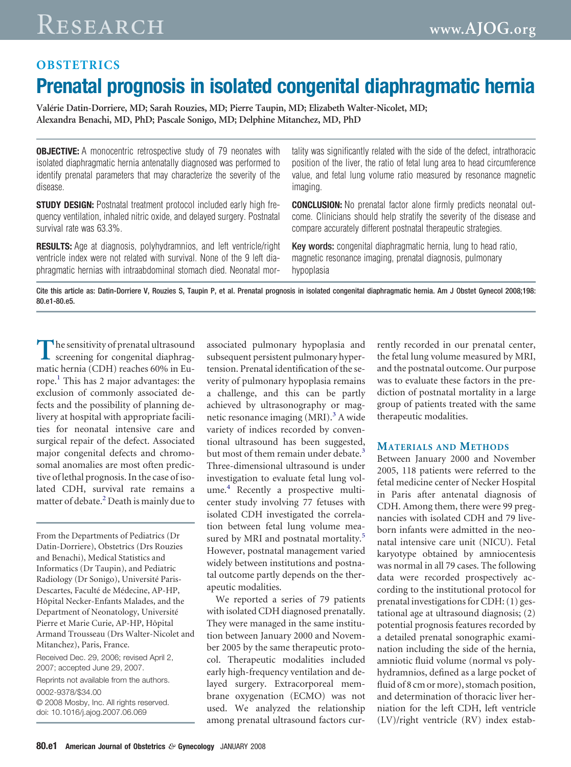# **OBSTETRICS Prenatal prognosis in isolated congenital diaphragmatic hernia**

**Valérie Datin-Dorriere, MD; Sarah Rouzies, MD; Pierre Taupin, MD; Elizabeth Walter-Nicolet, MD; Alexandra Benachi, MD, PhD; Pascale Sonigo, MD; Delphine Mitanchez, MD, PhD**

**OBJECTIVE:** A monocentric retrospective study of 79 neonates with isolated diaphragmatic hernia antenatally diagnosed was performed to identify prenatal parameters that may characterize the severity of the disease.

**STUDY DESIGN:** Postnatal treatment protocol included early high frequency ventilation, inhaled nitric oxide, and delayed surgery. Postnatal survival rate was 63.3%.

**RESULTS:** Age at diagnosis, polyhydramnios, and left ventricle/right ventricle index were not related with survival. None of the 9 left diaphragmatic hernias with intraabdominal stomach died. Neonatal mortality was significantly related with the side of the defect, intrathoracic position of the liver, the ratio of fetal lung area to head circumference value, and fetal lung volume ratio measured by resonance magnetic imaging.

**CONCLUSION:** No prenatal factor alone firmly predicts neonatal outcome. Clinicians should help stratify the severity of the disease and compare accurately different postnatal therapeutic strategies.

Key words: congenital diaphragmatic hernia, lung to head ratio, magnetic resonance imaging, prenatal diagnosis, pulmonary hypoplasia

Cite this article as: Datin-Dorriere V, Rouzies S, Taupin P, et al. Prenatal prognosis in isolated congenital diaphragmatic hernia. Am J Obstet Gynecol 2008;198: 80.e1-80.e5.

The sensitivity of prenatal ultrasound<br>
screening for congenital diaphragmatic hernia (CDH) reaches 60% in Europe. $<sup>1</sup>$  $<sup>1</sup>$  $<sup>1</sup>$  This has 2 major advantages: the</sup> exclusion of commonly associated defects and the possibility of planning delivery at hospital with appropriate facilities for neonatal intensive care and surgical repair of the defect. Associated major congenital defects and chromosomal anomalies are most often predictive of lethal prognosis. In the case of isolated CDH, survival rate remains a matter of debate.<sup>[2](#page-4-0)</sup> Death is mainly due to

From the Departments of Pediatrics (Dr Datin-Dorriere), Obstetrics (Drs Rouzies and Benachi), Medical Statistics and Informatics (Dr Taupin), and Pediatric Radiology (Dr Sonigo), Université Paris-Descartes, Faculté de Médecine, AP-HP, Hôpital Necker-Enfants Malades, and the Department of Neonatology, Université Pierre et Marie Curie, AP-HP, Hôpital Armand Trousseau (Drs Walter-Nicolet and Mitanchez), Paris, France.

Received Dec. 29, 2006; revised April 2, 2007; accepted June 29, 2007.

Reprints not available from the authors. 0002-9378/\$34.00 © 2008 Mosby, Inc. All rights reserved.

doi: 10.1016/j.ajog.2007.06.069

associated pulmonary hypoplasia and subsequent persistent pulmonary hypertension. Prenatal identification of the severity of pulmonary hypoplasia remains a challenge, and this can be partly achieved by ultrasonography or magnetic resonance imaging  $(MRI).$ <sup>[3](#page-4-0)</sup> A wide variety of indices recorded by conventional ultrasound has been suggested, but most of them remain under debate.<sup>[3](#page-4-0)</sup> Three-dimensional ultrasound is under investigation to evaluate fetal lung vol-ume.<sup>[4](#page-4-0)</sup> Recently a prospective multicenter study involving 77 fetuses with isolated CDH investigated the correlation between fetal lung volume mea-sured by MRI and postnatal mortality.<sup>[5](#page-4-0)</sup> However, postnatal management varied widely between institutions and postnatal outcome partly depends on the therapeutic modalities.

We reported a series of 79 patients with isolated CDH diagnosed prenatally. They were managed in the same institution between January 2000 and November 2005 by the same therapeutic protocol. Therapeutic modalities included early high-frequency ventilation and delayed surgery. Extracorporeal membrane oxygenation (ECMO) was not used. We analyzed the relationship among prenatal ultrasound factors currently recorded in our prenatal center, the fetal lung volume measured by MRI, and the postnatal outcome. Our purpose was to evaluate these factors in the prediction of postnatal mortality in a large group of patients treated with the same therapeutic modalities.

## **MATERIALS AND METHODS**

Between January 2000 and November 2005, 118 patients were referred to the fetal medicine center of Necker Hospital in Paris after antenatal diagnosis of CDH. Among them, there were 99 pregnancies with isolated CDH and 79 liveborn infants were admitted in the neonatal intensive care unit (NICU). Fetal karyotype obtained by amniocentesis was normal in all 79 cases. The following data were recorded prospectively according to the institutional protocol for prenatal investigations for CDH: (1) gestational age at ultrasound diagnosis; (2) potential prognosis features recorded by a detailed prenatal sonographic examination including the side of the hernia, amniotic fluid volume (normal vs polyhydramnios, defined as a large pocket of fluid of 8 cm or more), stomach position, and determination of thoracic liver herniation for the left CDH, left ventricle (LV)/right ventricle (RV) index estab-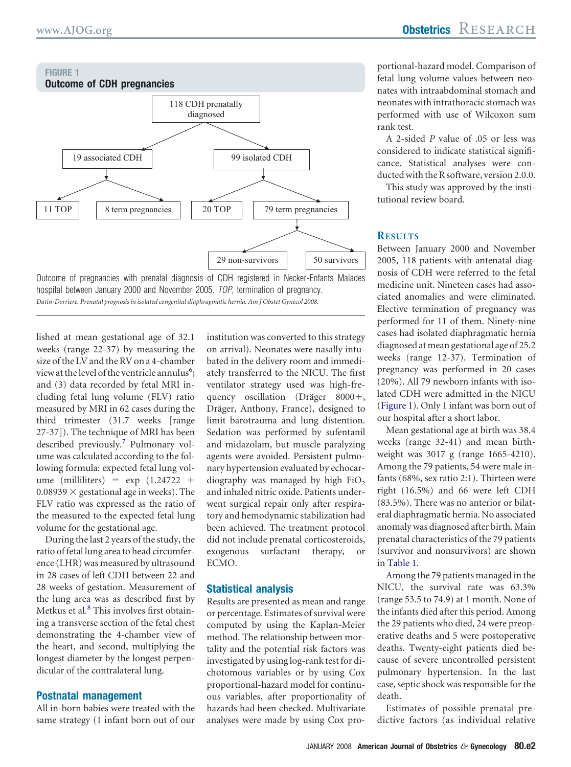

hospital between January 2000 and November 2005. *TOP*, termination of pregnancy. *Datin-Dorriere. Prenatal prognosis in isolated congenital diaphragmatic hernia. Am J Obstet Gynecol 2008.*

lished at mean gestational age of 32.1 weeks (range 22-37) by measuring the size of the LV and the RV on a 4-chamber view at the level of the ventricle annulus<sup>[6](#page-4-0)</sup>; and (3) data recorded by fetal MRI including fetal lung volume (FLV) ratio measured by MRI in 62 cases during the third trimester (31.7 weeks [range 27-37]). The technique of MRI has been described previously.<sup>[7](#page-4-0)</sup> Pulmonary volume was calculated according to the following formula: expected fetal lung volume (milliliters) =  $\exp$  (1.24722 +  $0.08939 \times$  gestational age in weeks). The FLV ratio was expressed as the ratio of the measured to the expected fetal lung volume for the gestational age.

During the last 2 years of the study, the ratio of fetal lung area to head circumference (LHR) was measured by ultrasound in 28 cases of left CDH between 22 and 28 weeks of gestation. Measurement of the lung area was as described first by Metkus et al.<sup>[8](#page-4-0)</sup> This involves first obtaining a transverse section of the fetal chest demonstrating the 4-chamber view of the heart, and second, multiplying the longest diameter by the longest perpendicular of the contralateral lung.

# **Postnatal management**

All in-born babies were treated with the same strategy (1 infant born out of our

institution was converted to this strategy on arrival). Neonates were nasally intubated in the delivery room and immediately transferred to the NICU. The first ventilator strategy used was high-frequency oscillation (Dräger 8000+, Dräger, Anthony, France), designed to limit barotrauma and lung distention. Sedation was performed by sufentanil and midazolam, but muscle paralyzing agents were avoided. Persistent pulmonary hypertension evaluated by echocardiography was managed by high FiO<sub>2</sub> and inhaled nitric oxide. Patients underwent surgical repair only after respiratory and hemodynamic stabilization had been achieved. The treatment protocol did not include prenatal corticosteroids, exogenous surfactant therapy, or ECMO.

# **Statistical analysis**

Results are presented as mean and range or percentage. Estimates of survival were computed by using the Kaplan-Meier method. The relationship between mortality and the potential risk factors was investigated by using log-rank test for dichotomous variables or by using Cox proportional-hazard model for continuous variables, after proportionality of hazards had been checked. Multivariate analyses were made by using Cox proportional-hazard model. Comparison of fetal lung volume values between neonates with intraabdominal stomach and neonates with intrathoracic stomach was performed with use of Wilcoxon sum rank test*.*

A 2-sided *P* value of .05 or less was considered to indicate statistical significance. Statistical analyses were conducted with the R software, version 2.0.0.

This study was approved by the institutional review board.

# **RESULTS**

Between January 2000 and November 2005, 118 patients with antenatal diagnosis of CDH were referred to the fetal medicine unit. Nineteen cases had associated anomalies and were eliminated. Elective termination of pregnancy was performed for 11 of them. Ninety-nine cases had isolated diaphragmatic hernia diagnosed at mean gestational age of 25.2 weeks (range 12-37). Termination of pregnancy was performed in 20 cases (20%). All 79 newborn infants with isolated CDH were admitted in the NICU (Figure 1). Only 1 infant was born out of our hospital after a short labor.

Mean gestational age at birth was 38.4 weeks (range 32-41) and mean birthweight was 3017 g (range 1665-4210). Among the 79 patients, 54 were male infants (68%, sex ratio 2:1). Thirteen were right (16.5%) and 66 were left CDH (83.5%). There was no anterior or bilateral diaphragmatic hernia. No associated anomaly was diagnosed after birth. Main prenatal characteristics of the 79 patients (survivor and nonsurvivors) are shown in [Table](#page-2-0) 1.

Among the 79 patients managed in the NICU, the survival rate was 63.3% (range 53.5 to 74.9) at 1 month. None of the infants died after this period. Among the 29 patients who died, 24 were preoperative deaths and 5 were postoperative deaths. Twenty-eight patients died because of severe uncontrolled persistent pulmonary hypertension. In the last case, septic shock was responsible for the death.

Estimates of possible prenatal predictive factors (as individual relative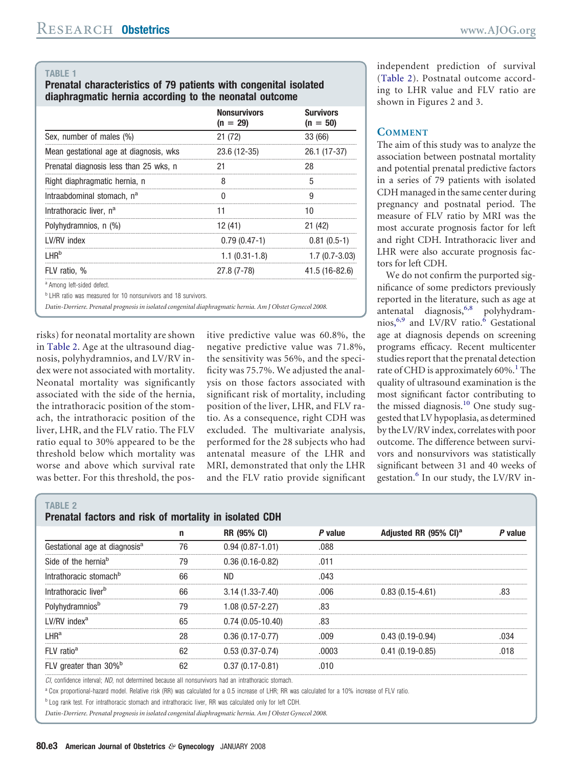### <span id="page-2-0"></span>**TABLE 1**

## **Prenatal characteristics of 79 patients with congenital isolated diaphragmatic hernia according to the neonatal outcome**

|                                        | <b>Nonsurvivors</b><br>$(n = 29)$ | <b>Survivors</b><br>$(n = 50)$ |
|----------------------------------------|-----------------------------------|--------------------------------|
| Sex, number of males (%)               | 21 (72)                           | 33 (66)                        |
| Mean gestational age at diagnosis, wks | 23.6 (12-35)                      | 26.1 (17-37)                   |
| Prenatal diagnosis less than 25 wks, n |                                   |                                |
| Right diaphragmatic hernia, n          |                                   |                                |
| Intraabdominal stomach, n <sup>a</sup> |                                   |                                |
| Intrathoracic liver, n <sup>a</sup>    |                                   |                                |
| Polyhydramnios, n (%)                  | 12 (41)                           | 21 (42)                        |
| LV/RV index                            | $0.79(0.47-1)$                    | $0.81(0.5-1)$                  |
| I HR <sup>b</sup>                      | 1.1 (0.31-1.8)                    | $1.7(0.7 - 3.03)$              |
| FLV ratio. %                           | $27.8(7-78)$                      | 41.5 (16-82.6)                 |
| ª Amona left-sided defect.             |                                   |                                |

<sup>b</sup> LHR ratio was measured for 10 nonsurvivors and 18 survivors.

*Datin-Dorriere. Prenatal prognosis in isolated congenital diaphragmatic hernia. Am J Obstet Gynecol 2008.*

risks) for neonatal mortality are shown in Table 2. Age at the ultrasound diagnosis, polyhydramnios, and LV/RV index were not associated with mortality. Neonatal mortality was significantly associated with the side of the hernia, the intrathoracic position of the stomach, the intrathoracic position of the liver, LHR, and the FLV ratio. The FLV ratio equal to 30% appeared to be the threshold below which mortality was worse and above which survival rate was better. For this threshold, the positive predictive value was 60.8%, the negative predictive value was 71.8%, the sensitivity was 56%, and the specificity was 75.7%. We adjusted the analysis on those factors associated with significant risk of mortality, including position of the liver, LHR, and FLV ratio. As a consequence, right CDH was excluded. The multivariate analysis, performed for the 28 subjects who had antenatal measure of the LHR and MRI, demonstrated that only the LHR and the FLV ratio provide significant independent prediction of survival (Table 2). Postnatal outcome according to LHR value and FLV ratio are shown in Figures 2 and 3.

# **COMMENT**

The aim of this study was to analyze the association between postnatal mortality and potential prenatal predictive factors in a series of 79 patients with isolated CDH managed in the same center during pregnancy and postnatal period. The measure of FLV ratio by MRI was the most accurate prognosis factor for left and right CDH. Intrathoracic liver and LHR were also accurate prognosis factors for left CDH.

We do not confirm the purported significance of some predictors previously reported in the literature, such as age at antenatal diagnosis,<sup>[6,8](#page-4-0)</sup> polyhydram-nios,<sup>[6,9](#page-4-0)</sup> and LV/RV ratio.<sup>[6](#page-4-0)</sup> Gestational age at diagnosis depends on screening programs efficacy. Recent multicenter studies report that the prenatal detection rate of CHD is approximately  $60\%$ .<sup>[1](#page-4-0)</sup> The quality of ultrasound examination is the most significant factor contributing to the missed diagnosis.<sup>[10](#page-4-0)</sup> One study suggested that LV hypoplasia, as determined by the LV/RV index, correlates with poor outcome. The difference between survivors and nonsurvivors was statistically significant between 31 and 40 weeks of gestation.<sup>[6](#page-4-0)</sup> In our study, the LV/RV in-

#### **TABLE 2 Prenatal factors and risk of mortality in isolated CDH**

|                                           |    | <b>RR (95% CI)</b>  | P value | Adjusted RR (95% CI) <sup>a</sup> | value |
|-------------------------------------------|----|---------------------|---------|-----------------------------------|-------|
| Gestational age at diagnosis <sup>a</sup> | 76 | $0.94(0.87 - 1.01)$ |         |                                   |       |
| Side of the hernia <sup>b</sup>           | 79 | $0.36(0.16-0.82)$   |         |                                   |       |
| Intrathoracic stomach <sup>b</sup>        | 66 |                     |         |                                   |       |
| Intrathoracic liver <sup>b</sup>          | 66 | $3.14(1.33 - 7.40)$ |         | $0.83(0.15-4.61)$                 |       |
|                                           | 79 | 1.08 (0.57-2.27)    |         |                                   |       |
| l V/RV index <sup>a</sup>                 | 65 | $0.74(0.05-10.40)$  |         |                                   |       |
| $\mathsf{LHR}^\mathsf{a}$                 | 28 | $0.36(0.17 - 0.77)$ | nna     | $0.43(0.19-0.94)$                 |       |
| $FI$ V ratio <sup>a</sup>                 | 62 | $0.53(0.37-0.74)$   |         | 0.41 (0.19-0.85)                  |       |
| FLV greater than 30% <sup>b</sup>         |    | $0.37(0.17-0.81)$   |         |                                   |       |
|                                           |    |                     |         |                                   |       |

*CI*, confidence interval; *ND*, not determined because all nonsurvivors had an intrathoracic stomach.

a Cox proportional-hazard model. Relative risk (RR) was calculated for a 0.5 increase of LHR; RR was calculated for a 10% increase of FLV ratio.

b Log rank test. For intrathoracic stomach and intrathoracic liver, RR was calculated only for left CDH.

*Datin-Dorriere. Prenatal prognosis in isolated congenital diaphragmatic hernia. Am J Obstet Gynecol 2008.*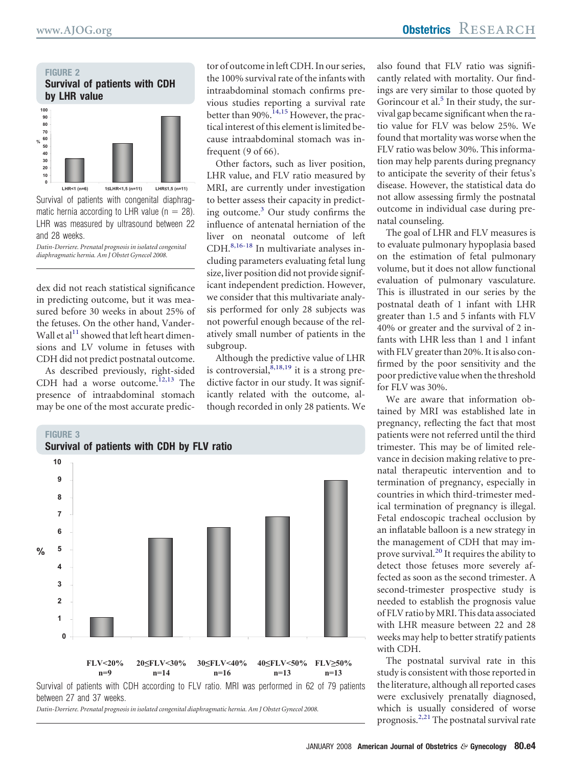

Survival of patients with congenital diaphragmatic hernia according to LHR value ( $n = 28$ ). LHR was measured by ultrasound between 22 and 28 weeks.

*Datin-Dorriere. Prenatal prognosis in isolated congenital diaphragmatic hernia. Am J Obstet Gynecol 2008.*

dex did not reach statistical significance in predicting outcome, but it was measured before 30 weeks in about 25% of the fetuses. On the other hand, Vander-Wall et al<sup>[11](#page-4-0)</sup> showed that left heart dimensions and LV volume in fetuses with CDH did not predict postnatal outcome.

As described previously, right-sided CDH had a worse outcome.<sup>[12,13](#page-4-0)</sup> The presence of intraabdominal stomach may be one of the most accurate predic-

tor of outcome in left CDH. In our series, the 100% survival rate of the infants with intraabdominal stomach confirms previous studies reporting a survival rate better than 90%. $^{14,15}$  $^{14,15}$  $^{14,15}$  However, the practical interest of this element is limited because intraabdominal stomach was infrequent (9 of 66).

Other factors, such as liver position, LHR value, and FLV ratio measured by MRI, are currently under investigation to better assess their capacity in predicting outcome.[3](#page-4-0) Our study confirms the influence of antenatal herniation of the liver on neonatal outcome of left CDH.[8,16-18](#page-4-0) In multivariate analyses including parameters evaluating fetal lung size, liver position did not provide significant independent prediction. However, we consider that this multivariate analysis performed for only 28 subjects was not powerful enough because of the relatively small number of patients in the subgroup.

Although the predictive value of LHR is controversial,  $8,18,19$  it is a strong predictive factor in our study. It was significantly related with the outcome, although recorded in only 28 patients. We



between 27 and 37 weeks.

*Datin-Dorriere. Prenatal prognosis in isolated congenital diaphragmatic hernia. Am J Obstet Gynecol 2008.*

also found that FLV ratio was significantly related with mortality. Our findings are very similar to those quoted by Gorincour et al. $5$  In their study, the survival gap became significant when the ratio value for FLV was below 25%. We found that mortality was worse when the FLV ratio was below 30%. This information may help parents during pregnancy to anticipate the severity of their fetus's disease. However, the statistical data do not allow assessing firmly the postnatal outcome in individual case during prenatal counseling.

The goal of LHR and FLV measures is to evaluate pulmonary hypoplasia based on the estimation of fetal pulmonary volume, but it does not allow functional evaluation of pulmonary vasculature. This is illustrated in our series by the postnatal death of 1 infant with LHR greater than 1.5 and 5 infants with FLV 40% or greater and the survival of 2 infants with LHR less than 1 and 1 infant with FLV greater than 20%. It is also confirmed by the poor sensitivity and the poor predictive value when the threshold for FLV was 30%.

We are aware that information obtained by MRI was established late in pregnancy, reflecting the fact that most patients were not referred until the third trimester. This may be of limited relevance in decision making relative to prenatal therapeutic intervention and to termination of pregnancy, especially in countries in which third-trimester medical termination of pregnancy is illegal. Fetal endoscopic tracheal occlusion by an inflatable balloon is a new strategy in the management of CDH that may im-prove survival.<sup>[20](#page-4-0)</sup> It requires the ability to detect those fetuses more severely affected as soon as the second trimester. A second-trimester prospective study is needed to establish the prognosis value of FLV ratio byMRI. This data associated with LHR measure between 22 and 28 weeks may help to better stratify patients with CDH.

The postnatal survival rate in this study is consistent with those reported in the literature, although all reported cases were exclusively prenatally diagnosed, which is usually considered of worse prognosis.<sup>[2,21](#page-4-0)</sup> The postnatal survival rate